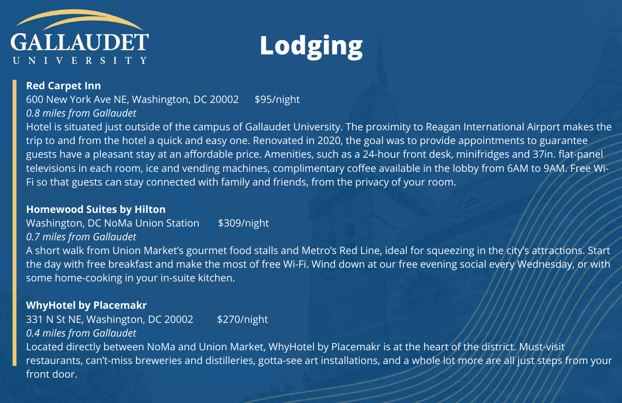

# **Lodging**

#### **Red Carpet Inn**

### 600 New York Ave NE, Washington, DC 20002 \$95/night

*0.8 miles from Gallaudet*

Hotel is situated just outside of the campus of Gallaudet University. The proximity to Reagan International Airport makes the trip to and from the hotel a quick and easy one. Renovated in 2020, the goal was to provide appointments to guarantee guests have a pleasant stay at an affordable price. Amenities, such as a 24-hour front desk, minifridges and 37in. flat-panel televisions in each room, ice and vending machines, complimentary coffee available in the lobby from 6AM to 9AM. Free Wi-Fi so that guests can stay connected with family and friends, from the privacy of your room.

#### **Homewood Suites by Hilton**

Washington, DC NoMa Union Station \$309/night

*0.7 miles from Gallaudet*

A short walk from Union Market's gourmet food stalls and Metro's Red Line, ideal for squeezing in the city's attractions. Start the day with free breakfast and make the most of free Wi-Fi. Wind down at our free evening social every Wednesday, or with some home-cooking in your in-suite kitchen.

#### **WhyHotel by Placemakr**

331 N St NE, Washington, DC 20002 \$270/night *0.4 miles from Gallaudet* Located directly between NoMa and Union Market, WhyHotel by Placemakr is at the heart of the district. Must-visit restaurants, can't-miss breweries and distilleries, gotta-see art installations, and a whole lot more are all just steps from your front door.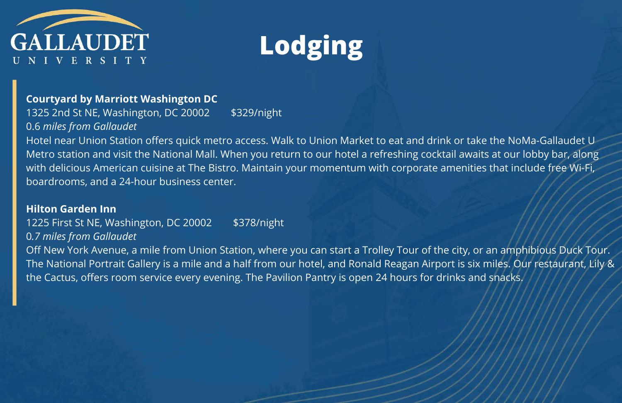



#### **Courtyard by Marriott Washington DC**

1325 2nd St NE, Washington, DC 20002 \$329/night 0.6 *miles from Gallaudet*

Hotel near Union Station offers quick metro access. Walk to Union Market to eat and drink or take the NoMa-Gallaudet U Metro station and visit the National Mall. When you return to our hotel a refreshing cocktail awaits at our lobby bar, along with delicious American cuisine at The Bistro. Maintain your momentum with corporate amenities that include free Wi-Fi, boardrooms, and a 24-hour business center.

#### **Hilton Garden Inn**

1225 First St NE, Washington, DC 20002 \$378/night

0*.7 miles from Gallaudet*

Off New York Avenue, a mile from Union Station, where you can start a Trolley Tour of the city, or an amphibious Duck Tour. The National Portrait Gallery is a mile and a half from our hotel, and Ronald Reagan Airport is six miles. Our restaurant, Lily & the Cactus, offers room service every evening. The Pavilion Pantry is open 24 hours for drinks and snacks.